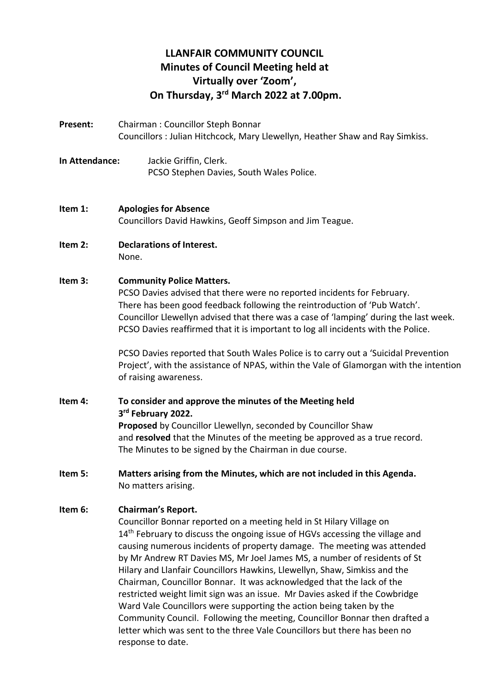# **LLANFAIR COMMUNITY COUNCIL Minutes of Council Meeting held at Virtually over 'Zoom', On Thursday, 3 rd March 2022 at 7.00pm.**

- **Present:** Chairman : Councillor Steph Bonnar Councillors : Julian Hitchcock, Mary Llewellyn, Heather Shaw and Ray Simkiss.
- **In Attendance:** Jackie Griffin, Clerk. PCSO Stephen Davies, South Wales Police.

#### **Item 1: Apologies for Absence** Councillors David Hawkins, Geoff Simpson and Jim Teague.

**Item 2: Declarations of Interest.** None.

#### **Item 3: Community Police Matters.**

PCSO Davies advised that there were no reported incidents for February. There has been good feedback following the reintroduction of 'Pub Watch'. Councillor Llewellyn advised that there was a case of 'lamping' during the last week. PCSO Davies reaffirmed that it is important to log all incidents with the Police.

PCSO Davies reported that South Wales Police is to carry out a 'Suicidal Prevention Project', with the assistance of NPAS, within the Vale of Glamorgan with the intention of raising awareness.

#### **Item 4: To consider and approve the minutes of the Meeting held 3 rd February 2022. Proposed** by Councillor Llewellyn, seconded by Councillor Shaw and **resolved** that the Minutes of the meeting be approved as a true record. The Minutes to be signed by the Chairman in due course.

**Item 5: Matters arising from the Minutes, which are not included in this Agenda.** No matters arising.

#### **Item 6: Chairman's Report.**

Councillor Bonnar reported on a meeting held in St Hilary Village on 14<sup>th</sup> February to discuss the ongoing issue of HGVs accessing the village and causing numerous incidents of property damage. The meeting was attended by Mr Andrew RT Davies MS, Mr Joel James MS, a number of residents of St Hilary and Llanfair Councillors Hawkins, Llewellyn, Shaw, Simkiss and the Chairman, Councillor Bonnar. It was acknowledged that the lack of the restricted weight limit sign was an issue. Mr Davies asked if the Cowbridge Ward Vale Councillors were supporting the action being taken by the Community Council. Following the meeting, Councillor Bonnar then drafted a letter which was sent to the three Vale Councillors but there has been no response to date.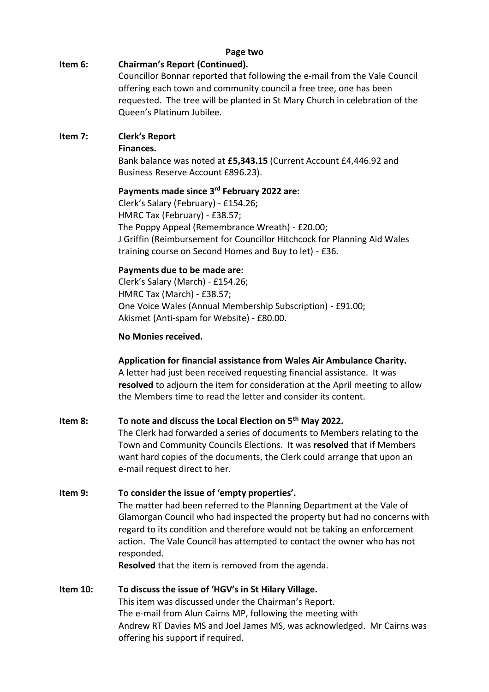#### **Page two**

## **Item 6: Chairman's Report (Continued).**

Councillor Bonnar reported that following the e-mail from the Vale Council offering each town and community council a free tree, one has been requested. The tree will be planted in St Mary Church in celebration of the Queen's Platinum Jubilee.

# **Item 7: Clerk's Report**

### **Finances.**

Bank balance was noted at **£5,343.15** (Current Account £4,446.92 and Business Reserve Account £896.23).

## **Payments made since 3 rd February 2022 are:**

Clerk's Salary (February) - £154.26; HMRC Tax (February) - £38.57; The Poppy Appeal (Remembrance Wreath) - £20.00; J Griffin (Reimbursement for Councillor Hitchcock for Planning Aid Wales training course on Second Homes and Buy to let) - £36.

# **Payments due to be made are:**

Clerk's Salary (March) - £154.26; HMRC Tax (March) - £38.57; One Voice Wales (Annual Membership Subscription) - £91.00; Akismet (Anti-spam for Website) - £80.00.

## **No Monies received.**

# **Application for financial assistance from Wales Air Ambulance Charity.**

A letter had just been received requesting financial assistance. It was **resolved** to adjourn the item for consideration at the April meeting to allow the Members time to read the letter and consider its content.

## **Item 8: To note and discuss the Local Election on 5th May 2022.**

The Clerk had forwarded a series of documents to Members relating to the Town and Community Councils Elections. It was **resolved** that if Members want hard copies of the documents, the Clerk could arrange that upon an e-mail request direct to her.

# **Item 9: To consider the issue of 'empty properties'.**

The matter had been referred to the Planning Department at the Vale of Glamorgan Council who had inspected the property but had no concerns with regard to its condition and therefore would not be taking an enforcement action. The Vale Council has attempted to contact the owner who has not responded.

**Resolved** that the item is removed from the agenda.

#### **Item 10: To discuss the issue of 'HGV's in St Hilary Village.** This item was discussed under the Chairman's Report. The e-mail from Alun Cairns MP, following the meeting with Andrew RT Davies MS and Joel James MS, was acknowledged. Mr Cairns was offering his support if required.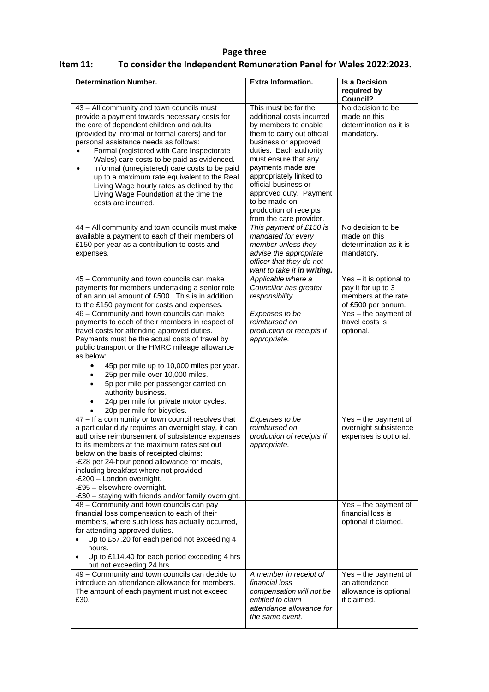### **Page three Item 11: To consider the Independent Remuneration Panel for Wales 2022:2023.**

| <b>Determination Number.</b>                                                                                                                                                                                                                                                                                                                                                                                                                                                                                                                               | <b>Extra Information.</b>                                                                                                                                                                                                                                                                                                                                 | <b>Is a Decision</b><br>required by<br>Council?                                            |
|------------------------------------------------------------------------------------------------------------------------------------------------------------------------------------------------------------------------------------------------------------------------------------------------------------------------------------------------------------------------------------------------------------------------------------------------------------------------------------------------------------------------------------------------------------|-----------------------------------------------------------------------------------------------------------------------------------------------------------------------------------------------------------------------------------------------------------------------------------------------------------------------------------------------------------|--------------------------------------------------------------------------------------------|
| 43 - All community and town councils must<br>provide a payment towards necessary costs for<br>the care of dependent children and adults<br>(provided by informal or formal carers) and for<br>personal assistance needs as follows:<br>Formal (registered with Care Inspectorate<br>Wales) care costs to be paid as evidenced.<br>Informal (unregistered) care costs to be paid<br>$\bullet$<br>up to a maximum rate equivalent to the Real<br>Living Wage hourly rates as defined by the<br>Living Wage Foundation at the time the<br>costs are incurred. | This must be for the<br>additional costs incurred<br>by members to enable<br>them to carry out official<br>business or approved<br>duties. Each authority<br>must ensure that any<br>payments made are<br>appropriately linked to<br>official business or<br>approved duty. Payment<br>to be made on<br>production of receipts<br>from the care provider. | No decision to be<br>made on this<br>determination as it is<br>mandatory.                  |
| 44 - All community and town councils must make<br>available a payment to each of their members of<br>£150 per year as a contribution to costs and<br>expenses.                                                                                                                                                                                                                                                                                                                                                                                             | This payment of £150 is<br>mandated for every<br>member unless they<br>advise the appropriate<br>officer that they do not<br>want to take it in writing.                                                                                                                                                                                                  | No decision to be<br>made on this<br>determination as it is<br>mandatory.                  |
| 45 - Community and town councils can make<br>payments for members undertaking a senior role<br>of an annual amount of £500. This is in addition<br>to the £150 payment for costs and expenses.                                                                                                                                                                                                                                                                                                                                                             | Applicable where a<br>Councillor has greater<br>responsibility.                                                                                                                                                                                                                                                                                           | Yes - it is optional to<br>pay it for up to 3<br>members at the rate<br>of £500 per annum. |
| 46 - Community and town councils can make<br>payments to each of their members in respect of<br>travel costs for attending approved duties.<br>Payments must be the actual costs of travel by<br>public transport or the HMRC mileage allowance<br>as below:<br>45p per mile up to 10,000 miles per year.<br>$\bullet$<br>25p per mile over 10,000 miles.<br>5p per mile per passenger carried on<br>authority business.<br>24p per mile for private motor cycles.<br>20p per mile for bicycles.                                                           | Expenses to be<br>reimbursed on<br>production of receipts if<br>appropriate.                                                                                                                                                                                                                                                                              | Yes - the payment of<br>travel costs is<br>optional.                                       |
| $47 -$ If a community or town council resolves that<br>a particular duty requires an overnight stay, it can<br>authorise reimbursement of subsistence expenses<br>to its members at the maximum rates set out<br>below on the basis of receipted claims:<br>-£28 per 24-hour period allowance for meals,<br>including breakfast where not provided.<br>-£200 - London overnight.<br>-£95 - elsewhere overnight.<br>-£30 - staying with friends and/or family overnight.                                                                                    | Expenses to be<br>reimbursed on<br>production of receipts if<br>appropriate.                                                                                                                                                                                                                                                                              | Yes - the payment of<br>overnight subsistence<br>expenses is optional.                     |
| 48 - Community and town councils can pay<br>financial loss compensation to each of their<br>members, where such loss has actually occurred,<br>for attending approved duties.<br>Up to £57.20 for each period not exceeding 4<br>$\bullet$<br>hours.<br>Up to £114.40 for each period exceeding 4 hrs<br>$\bullet$<br>but not exceeding 24 hrs.                                                                                                                                                                                                            |                                                                                                                                                                                                                                                                                                                                                           | Yes - the payment of<br>financial loss is<br>optional if claimed.                          |
| 49 - Community and town councils can decide to<br>introduce an attendance allowance for members.<br>The amount of each payment must not exceed<br>£30.                                                                                                                                                                                                                                                                                                                                                                                                     | A member in receipt of<br>financial loss<br>compensation will not be<br>entitled to claim<br>attendance allowance for<br>the same event.                                                                                                                                                                                                                  | Yes - the payment of<br>an attendance<br>allowance is optional<br>if claimed.              |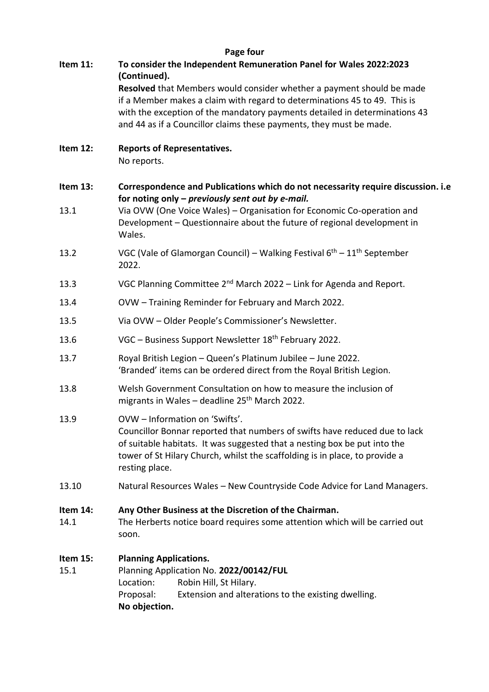|          | Page four                                                                                                                              |  |
|----------|----------------------------------------------------------------------------------------------------------------------------------------|--|
| Item 11: | To consider the Independent Remuneration Panel for Wales 2022:2023<br>(Continued).                                                     |  |
|          | Resolved that Members would consider whether a payment should be made                                                                  |  |
|          | if a Member makes a claim with regard to determinations 45 to 49. This is                                                              |  |
|          | with the exception of the mandatory payments detailed in determinations 43                                                             |  |
|          | and 44 as if a Councillor claims these payments, they must be made.                                                                    |  |
| Item 12: | <b>Reports of Representatives.</b><br>No reports.                                                                                      |  |
| Item 13: | Correspondence and Publications which do not necessarity require discussion. i.e<br>for noting only $-$ previously sent out by e-mail. |  |
| 13.1     | Via OVW (One Voice Wales) - Organisation for Economic Co-operation and                                                                 |  |
|          | Development - Questionnaire about the future of regional development in<br>Wales.                                                      |  |
| 13.2     | VGC (Vale of Glamorgan Council) – Walking Festival $6th - 11th$ September<br>2022.                                                     |  |
| 13.3     | VGC Planning Committee 2 <sup>nd</sup> March 2022 - Link for Agenda and Report.                                                        |  |
| 13.4     | OVW - Training Reminder for February and March 2022.                                                                                   |  |
| 13.5     | Via OVW - Older People's Commissioner's Newsletter.                                                                                    |  |
| 13.6     | VGC - Business Support Newsletter 18 <sup>th</sup> February 2022.                                                                      |  |
| 13.7     | Royal British Legion - Queen's Platinum Jubilee - June 2022.<br>'Branded' items can be ordered direct from the Royal British Legion.   |  |
| 13.8     | Welsh Government Consultation on how to measure the inclusion of<br>migrants in Wales - deadline 25 <sup>th</sup> March 2022.          |  |
| 13.9     | OVW - Information on 'Swifts'.                                                                                                         |  |
|          | Councillor Bonnar reported that numbers of swifts have reduced due to lack                                                             |  |
|          | of suitable habitats. It was suggested that a nesting box be put into the                                                              |  |
|          | tower of St Hilary Church, whilst the scaffolding is in place, to provide a<br>resting place.                                          |  |
| 13.10    | Natural Resources Wales - New Countryside Code Advice for Land Managers.                                                               |  |
| Item 14: | Any Other Business at the Discretion of the Chairman.                                                                                  |  |
| 14.1     | The Herberts notice board requires some attention which will be carried out<br>soon.                                                   |  |
| Item 15: | <b>Planning Applications.</b>                                                                                                          |  |
| 15.1     | Planning Application No. 2022/00142/FUL                                                                                                |  |
|          | Robin Hill, St Hilary.<br>Location:                                                                                                    |  |
|          | Proposal:<br>Extension and alterations to the existing dwelling.<br>No objection.                                                      |  |